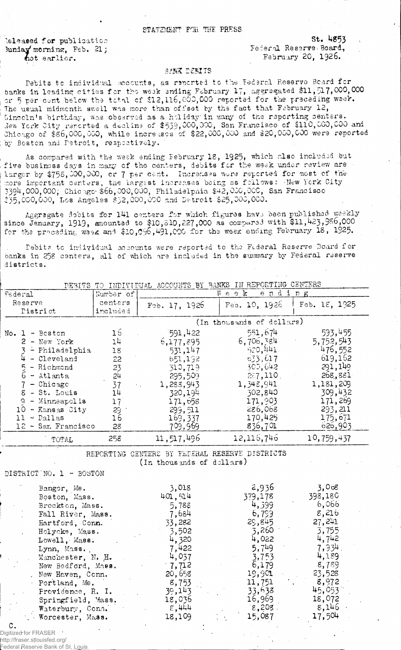## STATZMENT FOR THE PRESS

'sleased for publication states and the set of the States of States States (States States)<br>Sunday morning, Feb. 21: States States States States States States States (States States States States States junday morning, Feb. 21;  $r_{\text{hot earlier}}$ . February 20, 1926.

## *3I'M* DEBITS

Debits to individual accounts, as reported to the Federal Reserve Beard for banks in leading cities for the weak ending February 17, aggregated \$11,517,000,000 or 5 per cant below the total cf \$12,116,003,000 reported for the preceding wselr. The usual midmenth swell was more than offset by the fact that February 12, Lincoln's birthday, was observed as a holiday in many of the reporting centers. Jew York City reported a decline of \$533,000,000, San Francisco of \$110,000,000 -and Chicago of \$36,000,000, while increases of \$22,000,000 and \$20,000,000 were reported by Boston and Detroit, respectively.

As compared with the week ending February 18, 1925, which also included but five businoss days in many of the centers, debits for the week under review are larger by \$755,000,000, or 7 per cent. Increases ware reported for most of the more important centers, the largest increases being as follows: -New York City 3394,000,000; Chicago1 \$66,000,000, Philadelphia \$42,000,000, San Francisco \$35,000,000, Los Angeles \$32,000,000 and Detroit \$25,000,000.

Aggregate debits for 141 centers for which figures have been published weekly since January, 1919, amounted to  $$10,510,227,000$  as compared with  $$11,423,986,000$ for the preceding week and \$10,096,491,000 for the week ending February 18, 1925.

Debits to individual accounts were reported to the Federal Reserve Board for banks in 258 centers, all of which are included in the summary by Federal reserve districts.

|                         |           |                                                                             | DEBITS TO INDIVIDUAL ACCOUNTS BY BANKS IN REPORTING CENTERS |               |
|-------------------------|-----------|-----------------------------------------------------------------------------|-------------------------------------------------------------|---------------|
| Federal                 | Number of |                                                                             | Week<br>ending                                              |               |
| Reserve                 | centers   | Feb. 17, 1926                                                               | Feo. 10, 1926                                               | Feb. 18, 1925 |
| Pistrict                | included  |                                                                             |                                                             |               |
|                         |           |                                                                             | (In thousands of dollars)                                   |               |
| No. $1 -$ Besten        | 16        | 591,422                                                                     | 551,674                                                     | 593,455       |
| $2 - New York$          | 14        | 6,177,895                                                                   | 6,706,384                                                   | 5,752,543     |
| $3$ - Philadelphia      | 18        | 531,147                                                                     | 520,441                                                     | 476,552       |
| 4<br>- Cleveland        | 22        | 651,192                                                                     | 633,617                                                     | 619,162       |
| $5 -$ Richmond          | 23        | 310,719                                                                     | 300,642.                                                    | 291,149       |
| $6 -$ Atlanta           | 24        | 295,509                                                                     | 287,110.                                                    | 268,881       |
| $7 -$ Chicago           | 37        | 1,283,943                                                                   | 1,348,941                                                   | 1,181,209     |
| g<br>- St. Louis        | 14        | 320,194                                                                     | 302,840                                                     | 309,432       |
| - Minneapolis<br>q      | 17        | 171,658                                                                     | 171,903                                                     | 171,269       |
| 10 - Kansas City        | 29        | 299,511                                                                     | 286,068                                                     | 293,211       |
| $11 - Dallas$           | 16        | 169,337                                                                     | 170,425                                                     | 175,671       |
| 12 - San Francisco      | 28        | 709,969                                                                     | 836,701                                                     | 626,903       |
| TOTAL                   | 258       | 11, 517, 496                                                                | 12,116,746                                                  | 10,759,437    |
|                         |           | REPORTING CENTERS BY FEDERAL RESERVE DISTRICTS<br>(In thousands of dellars) |                                                             |               |
| DISTRICT NO. 1 - BOSTON |           |                                                                             |                                                             |               |
| Bangor, Me.             |           | 3,018                                                                       | 2,936                                                       | 3,008         |
| Boston, Mass.           |           | 401,514                                                                     | 379,178                                                     | 398,180       |
| Brockton, Mass.         |           | 5,788                                                                       | 4,399                                                       | 6,066         |
| Fall River, Mass.       |           | 7,684                                                                       | 6,799                                                       | 8,216         |
| Hartford, Conn.         |           | 33,282                                                                      | 29,845                                                      | 27,241        |
| Holyoke, Mass.          |           | 3,502                                                                       | 3,260                                                       | 3,755         |
| Lowell, Mass.           |           | 4,320                                                                       | 4,022                                                       | 4,742         |
| Lynn, Mass.             |           | 7,422                                                                       | 5,749                                                       | 7,934.        |
| Manchester, N. H.       |           | 4,037                                                                       | 3,753                                                       | 4,189         |
| New Bedford, Mass.      |           | 7,712                                                                       | 6,179                                                       | 8,789         |
| New Haven, Conn.        |           | 20,658                                                                      | 19,901                                                      | 23,528        |
| Portland, Me.           |           | 8,753                                                                       | 11,751                                                      | 8,972         |
| Providence, R. I.       |           | 39,143                                                                      | 33,638                                                      | 45,053        |
| Springfield, Mass.      |           | 18,036                                                                      | 16,969                                                      | 18,072        |
| Waterbury, Conn.        |           | $\varepsilon$ , 444                                                         | 8,208.                                                      | 8,146         |
| Worcester, Mass.        |           | 18,109                                                                      | 15,087                                                      | 17,504        |

Digitized for FRASER http://fraser.stlouisfed.org/

C.

Federal Reserve Bank of St. Louis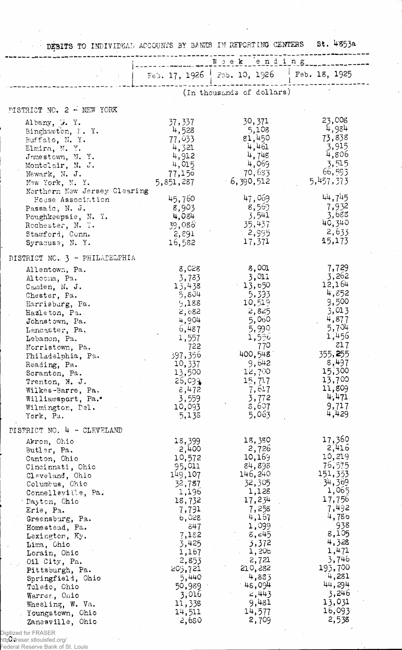|                                                                                                                                                                                                                                                                                                                                                                                                                                | DEBITS TO INDIVIDUAL ACCOUNTS BY BANKS IN REPORTING CENTERS                                                                                                                                                   |                                                                                                                                                                                                              |                                                                                                                                                                                                              |
|--------------------------------------------------------------------------------------------------------------------------------------------------------------------------------------------------------------------------------------------------------------------------------------------------------------------------------------------------------------------------------------------------------------------------------|---------------------------------------------------------------------------------------------------------------------------------------------------------------------------------------------------------------|--------------------------------------------------------------------------------------------------------------------------------------------------------------------------------------------------------------|--------------------------------------------------------------------------------------------------------------------------------------------------------------------------------------------------------------|
|                                                                                                                                                                                                                                                                                                                                                                                                                                |                                                                                                                                                                                                               | Feb. 17, 1926   Feb. 10, 1926   Feb. 18, 1925                                                                                                                                                                |                                                                                                                                                                                                              |
|                                                                                                                                                                                                                                                                                                                                                                                                                                |                                                                                                                                                                                                               | (In thousands of dollars)                                                                                                                                                                                    |                                                                                                                                                                                                              |
| PISTRICT NO. 2 - NEW YORK                                                                                                                                                                                                                                                                                                                                                                                                      |                                                                                                                                                                                                               |                                                                                                                                                                                                              |                                                                                                                                                                                                              |
| Albany, W. Y.<br>Binghamton, N.Y.<br>Buffalo, N.Y.<br>Elmira, N. Y.<br>Jamestown, N.Y.<br>Montclair, N. J.<br>Newark, N. J.<br>New York, N. Y.                                                                                                                                                                                                                                                                                 | 37,337<br>4,528<br>77,033<br>4,321<br>4,912<br>4,015<br>77,150<br>5,851,287                                                                                                                                   | 30,371<br>5,108<br>g <sub>1</sub> ,450<br>4,461<br>4,748<br>4,069<br>70,633<br>$-6,390,512$                                                                                                                  | 23,008<br>4,984<br>73,838<br>3,915<br>4,806<br>3,515<br>66,593<br>5,457,373                                                                                                                                  |
| Northern New Jersey Clearing<br>House Association<br>Passaic, N. J.<br>Poughkeepsie, N. Y.<br>Rochester, N. Y.<br>Stamford, Conn.<br>Syracuse, N. Y.                                                                                                                                                                                                                                                                           | 45,760<br>8,903<br>4,084<br>39,086<br>2,891<br>16,582                                                                                                                                                         | 47,069<br>8,569<br>3,541<br>35,437<br>2,995<br>17,371                                                                                                                                                        | 44,745<br>7,932<br>3,688<br>40,340<br>2,633<br>15,173                                                                                                                                                        |
| DISTRICT NO. 3 - PHILADELPHIA                                                                                                                                                                                                                                                                                                                                                                                                  |                                                                                                                                                                                                               |                                                                                                                                                                                                              |                                                                                                                                                                                                              |
| Allentown, Pa.<br>Altocha, Pa.<br>Camden, N. J.<br>Chester, Pa.<br>Harrisburg, Pa.<br>Hazleton, Pa.<br>Johnstown, Pa.<br>Lancaster, Pa.<br>Lebanon, Pa.<br>Norristown, Pa.<br>Philadelphia, Pa.<br>Reading, Pa.<br>Scranton, Pa.<br>Trenton, N. J.<br>Wilkes-Barre, Pa.<br>Williamsport, Pa.*<br>Wilmington, Del.<br>York, Pa.                                                                                                 | 8,028<br>3,783<br>13,438<br>5,804<br>9,188<br>2,682<br>4,904<br>6,487<br>1,557<br>722<br>397,356<br>10,337<br>13,500<br>26,099<br>8,472<br>3,559<br>10,093<br>5,138                                           | 8,001<br>3,011<br>13,650<br>5,393<br>10,519<br>2,825<br>5,060<br>5,990<br>1,550<br>770<br>400,548<br>9,642<br>12,700<br>15,717<br>7,617<br>3,772<br>8,607<br>5,063                                           | 7,729<br>3,262<br>12,164<br>4,852<br>9,500<br>3,013<br>4,877<br>5,704<br>1,456<br>z17<br>355,255<br>8,497<br>15,300<br>13,700<br>11,809<br>4,471<br>9,717<br>4,429                                           |
| DISTRICT NO. 4 - CLEVELAND<br>Akron, Ohio<br>Butler, Pa.<br>Canton, Ohio<br>Cincinnati, Ohio<br>Cleveland, Ohio<br>Columbus, Chio<br>Connellsville, Pa.<br>Dayton, Chio<br>Erie, Pa.<br>Greensburg, Pa.<br>Homestead, Pa.<br>Lexington, Ky.<br>Lima, Ohio<br>Lorain, Ohio<br>Oil City, Pa.<br>Pittsburgh, Pa.<br>Springfield, Ohio<br>Toledo, Chio<br>Warrer, Onio<br>Wheeling, W. Va.<br>Youngstown, Ohio<br>Zanesville, Ohio | 18,399<br>2,400<br>10,572<br>95,011<br>149,107<br>32,787<br>1,196<br>18,732<br>7,791<br>6,028<br>847<br>7,182<br>3,425<br>1,167<br>2,853<br>205,721<br>5,440<br>50,989<br>3,016<br>11,338<br>14,511<br>.2,680 | 18,380<br>2,726<br>10,169<br>84,898<br>146,240<br>32,305<br>1,128<br>17,234<br>7,258<br>4,167<br>1,099<br>8,45<br>3,372<br>1,206<br>2,721<br>210,282<br>4,833<br>45,094<br>2,443<br>9,481<br>14,577<br>2,709 | 17,360<br>2,416<br>10,219<br>76,575<br>151,353<br>34,369<br>1,065<br>17,756<br>7,492<br>4,786<br>938<br>8,105<br>4,328<br>1,471<br>3,746<br>193,700<br>4,281<br>44,294<br>3,246<br>13,031<br>16,093<br>2,538 |

Digitized for FRASER<br>http://fraser.stlouisfed. http://fraser.stlouisfed.org/ Federal Reserve Bank of St. Louis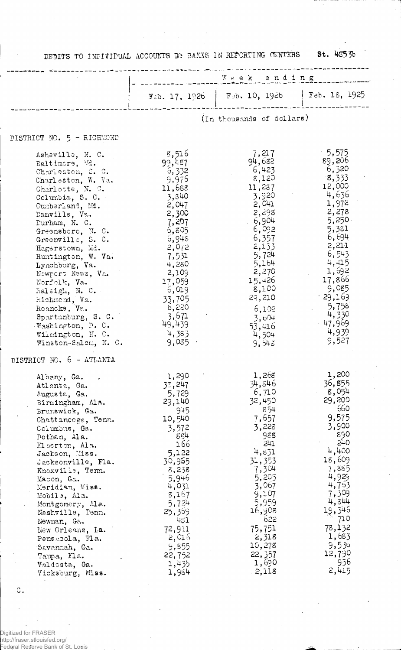DEBITS TO INDIVIDUAL ACCOUNTS BY BANKS IN REPORTING CENTERS

**St. 43530** 

|                                                                                                                                                                                                                                                                                                                                                                                                                                                                                            | Week ending                                                                                                                                                                                                            |                                                                                                                                                                                                                       |                                                                                                                                                                                                                                |
|--------------------------------------------------------------------------------------------------------------------------------------------------------------------------------------------------------------------------------------------------------------------------------------------------------------------------------------------------------------------------------------------------------------------------------------------------------------------------------------------|------------------------------------------------------------------------------------------------------------------------------------------------------------------------------------------------------------------------|-----------------------------------------------------------------------------------------------------------------------------------------------------------------------------------------------------------------------|--------------------------------------------------------------------------------------------------------------------------------------------------------------------------------------------------------------------------------|
|                                                                                                                                                                                                                                                                                                                                                                                                                                                                                            | $F$ cb. 17, 1926                                                                                                                                                                                                       | Feb. 10, 1926                                                                                                                                                                                                         | Feb. $15, 1925$                                                                                                                                                                                                                |
|                                                                                                                                                                                                                                                                                                                                                                                                                                                                                            |                                                                                                                                                                                                                        | (In thousands of dollars)                                                                                                                                                                                             |                                                                                                                                                                                                                                |
| DISTRICT NO. 5 - RICHMOND                                                                                                                                                                                                                                                                                                                                                                                                                                                                  |                                                                                                                                                                                                                        |                                                                                                                                                                                                                       |                                                                                                                                                                                                                                |
| Asheville, N. C.<br>Baltimore, Md.<br>Charleston, C. C.<br>Charleston, W. Va.<br>Charlotte, N. 9.<br>Columbia, S. C.<br>Cumberland, Mi.<br>Danville, Va.<br>Durham, N. C.<br>Greensboro, N. C.<br>Greenville, S. C.<br>Hagerstown, Md.<br>Huntington, W. Va.<br>Lynchburg, Va.<br>Newport News, Va.<br>Norfolk, Va.<br>haleigh, N. C.<br>Richmend, Va.<br>Roancke, Va.<br>Spartanburg, S. C.<br>Washington, D. C.<br>Wilmington, N. C.<br>Winston-Salem, N. C.<br>DISTRICT NO. 6 - ATLANTA | 8,516<br>99,487<br>6,332<br>9,976<br>11,688<br>3,840<br>2,047<br>2,300<br>- 7,207<br>6,805<br>6,948<br>2,072<br>7,531<br>4,280<br>2,109<br>17,059<br>6,019<br>33,705<br>6,220<br>3,671<br>49,439<br>4,383<br>$9,035$ · | 7,217<br>94,682<br>6,423<br>8,120<br>11,287<br>3,920<br>2,041<br>$2, -98$<br>. 6,904<br>6,092<br>6,357<br>2,133<br>5,724<br>5,164<br>2,270<br>15,426<br>8,100<br>29,210<br>6,102<br>3,604<br>53,416<br>4,504<br>9,643 | $-5,575$<br>.89,206<br>6,320<br>8,333<br>12,000<br>4,636<br>1,972<br>2,278<br>$5,250 -$<br>5,381<br>6,694<br>2,211<br>6,543<br>4,415<br>1,692<br>17,866<br>9,085<br>$-29,169$<br>5,758<br>4,330<br>$-47,969$<br>4,939<br>9,527 |
| Albany, Ga.<br>Atlanta, Ga.<br>Augusta, Ga.<br>Birmingham, Ala.<br>Brunswick, Ga.<br>Chattancoga, Tenn.<br>Columbus, Ga.<br>Pothan, Ala.<br>El berton, Ala.<br>Jackson, Miss.<br>Jacksonville, Fla.<br>Knoxville, Tenn.<br>Macon, Ga.<br>Meridian, Miss.<br>Mobile, Ala.<br>Montgomery, Ala.<br>Nashville, Tenn.<br>Newnan, Ga.<br>New Orleans, La.<br>Pensacola, Fla.<br>Savannah, Ca.<br>Tampa, Fla.<br>Valdosta, Ga.<br>Vicksburg, Miss.                                                | 1,290<br>38,247<br>5,729<br>29,140<br>945<br>10,540<br>3,572<br>854<br>166<br>5,122<br>30,965<br>8,238<br>5,946<br>4,031<br>8,167<br>5,724<br>25,369<br>431<br>72,911<br>2,016<br>9,855<br>22,752<br>1,435<br>1,984    | 1,268<br>34,846<br>6,710<br>32,450<br>854<br>7,657<br>3,228<br>988<br>511<br>4,831<br>31,353<br>7,304<br>5,205<br>3,067<br>9,107<br>5,959<br>16,908<br>622<br>75,751<br>2,318<br>10,278<br>22, 357<br>1,690<br>2,118  | 1,200<br>36,855<br>8,054<br>29,200<br>660<br>9,575<br>3,900<br>890<br>240<br>4,400<br>18,609<br>7,885<br>4,929<br>4,753<br>7,309<br>4,844<br>19,346<br>710<br>78,132<br>1,683<br>9,530<br>12,790<br>956<br>2,415               |

 $\mathtt{C}$  .

 $\bar{z}$ 

Digitized for FRASER<br>http://fraser.stlouisfed.org/<br>Federal Reserve Bank of St. Louis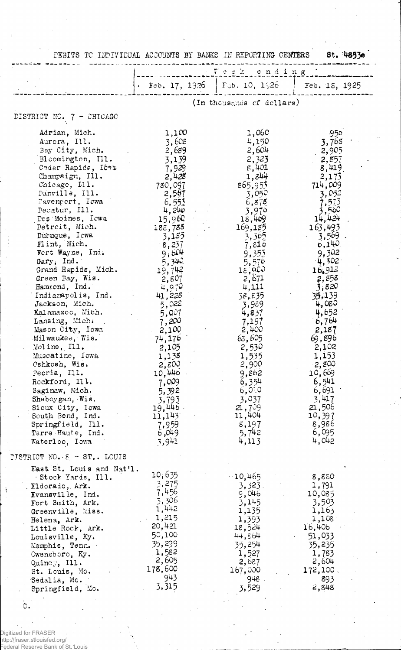|                                                                               | Voek ending                       |                                       |                                        |
|-------------------------------------------------------------------------------|-----------------------------------|---------------------------------------|----------------------------------------|
|                                                                               |                                   | $\cdot$ Feb. 17, 1926   Feb. 10, 1926 | Feb. 18, 1925                          |
|                                                                               |                                   | (In thousands of dollars)             |                                        |
| DISTRICT NO. 7 - CHICAGO                                                      |                                   |                                       |                                        |
| Adrian, Mich.                                                                 | 1,100                             | 1,060                                 | -950.                                  |
| Aurora, Ill.                                                                  | 3,608                             | 4,150                                 | 3,768                                  |
| Bay City, Mich.                                                               | 2,689                             | 2,604                                 | 2,905                                  |
| Bloomington, Ill.                                                             | 3,139                             | 2,323                                 | 2,857                                  |
| Cedar Rapids, IG42                                                            | 7,929                             | 8,401                                 | 8,419                                  |
| Champaign, Ill.                                                               | 2,428                             | $1,8$ <sup>44</sup>                   | 2,175                                  |
| Chicago, Ill.                                                                 | 780,097                           | 865,953                               | 714,009                                |
| Danville, Ill.                                                                | 2,567                             | 3,050                                 | 3,052                                  |
| Davenport, Iowa                                                               | $6,55\%$                          | 6,875                                 | 7,573                                  |
| Pecatur, Ill.                                                                 | 4,246                             | 3,970                                 | 3,560                                  |
| Des Moines, Icwa                                                              | 15,960                            | 18,469                                | 14,424                                 |
| Detroit, Mich.                                                                | 188,785                           | 169,185                               | 163,493                                |
| Duruque, Icwa                                                                 | 3,155                             | 3,305                                 | $3,569$ .                              |
| Flint, Mich.                                                                  | 8,237                             | 7,810                                 | 6,140                                  |
| Fort Wayne, Ind.                                                              | 9,604                             | 9,353                                 | 9,302                                  |
| Gary, Ind.                                                                    | 5,340                             | 5,570                                 | 4,302                                  |
| Grand Rapids, Mich.<br>Green Bay, Wis.<br>Hammond, Ind.<br>Indianapolis, Ind. | 19,742<br>2,807<br>4,970          | 18,900<br>2,671<br>4,111<br>38,835    | $16.912$ .<br>2,858<br>3,820<br>35,139 |
| Jackson, Mich.<br>Kalamazoo, Mich.<br>Lansing, Mich.                          | 41,228<br>5,022<br>5,007<br>7,200 | 3,989<br>4,837<br>7,197               | 4,080<br>4,652<br>6,764                |
| Mason City, Iowa                                                              | 2,100                             | 2,400                                 | 2,187                                  |
| Milwaukee, Wis.                                                               | 74,176                            | 63,605                                | 69,896                                 |
| Moline, Ill.                                                                  | 2,105                             | 2,530                                 | 2,102                                  |
| Muscatine, Iowa                                                               | 1,138                             | 1,535                                 | 1,153                                  |
| Oshkosh, Wis.                                                                 | 2,500                             | 2,900                                 | 2,800                                  |
| Peoria, Ill.                                                                  | 10,446                            | 9,862                                 | 10,669                                 |
| Rockford, Ill.                                                                | 7,009                             | 6,354                                 | 6,541                                  |
| Saginaw, Mich.                                                                | 5,392                             | 6,010                                 | 6,691                                  |
| Sheboygan, Wis.                                                               | 3,793                             | 3,037                                 | 3,417                                  |
| Sioux City, Iowa                                                              | 19,446.                           | 21,709                                | 21,506                                 |
| South Bend, Ind.                                                              | 11,143                            | 11,404                                | 10,397                                 |
| Springfield, Ill.                                                             | 7,959                             | 8,197                                 | 8,986                                  |
| Terre Haute, Ind.                                                             | 6,049                             | 5,742                                 | 6,095                                  |
| Waterloo, Iowa.                                                               | 3,941                             | 4,113                                 | 4,042                                  |
| <b>PISTRICT NO. <math>\epsilon</math> - ST</b> LOUIS                          |                                   |                                       |                                        |
| East St. Louis and Nat'l.<br>Stock Yards, Ill.<br>Eldorado, Ark.              | 10,635<br>3,275                   | $-10,465$<br>3,323.                   | 8,880<br>1,791                         |
| Evansville, Ind.                                                              | 7,456                             | 9,046                                 | 10,085                                 |
| Fort Smith, Ark.                                                              | 3,306                             | 3,145                                 | 3,503                                  |
| Greenville, Miss.                                                             | 1,442                             | 1,135                                 | 1,163                                  |
| Helena, Ark.                                                                  | 1,215                             | 1,393                                 | 1,108                                  |
| Little Rock, Ark.                                                             | 20,421                            | 18,524                                | 16,406                                 |
| Louisville, Ky.                                                               | 50,100                            | 44,864                                | 51,033                                 |
| Memphis, Tenn.                                                                | 35,299                            | 35,254                                | 35,235                                 |
| Owensboro, Ky.                                                                | 1,582                             | 1,527                                 | 1,783                                  |
| Quincy, $III.$                                                                | 2,605                             | 2,687                                 | 2,604                                  |
| St. Louis, Mo.                                                                | 178,600                           | 167,000                               | 172,100.                               |
| Sedalia, Mo.                                                                  | 943                               | 948.                                  | 893                                    |
| Springfield, Mo.                                                              | 3,315                             | 3,529                                 | 2,848                                  |

Digitized for FRASER<br>http://fraser.stlouisfed.org/<br>Federal Reserve Bank of St. Louis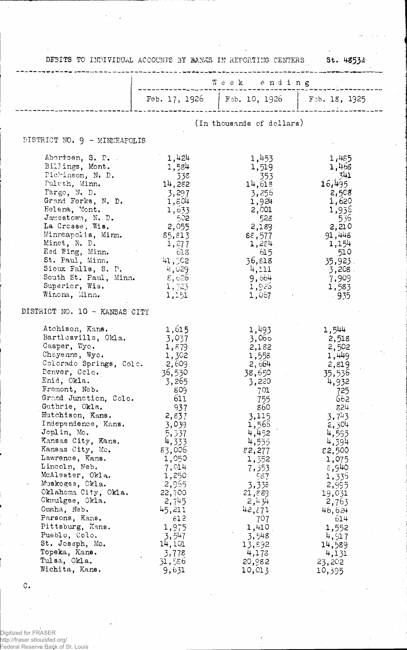| DEBITS TO INDIVIDUAL ACCOUNTS BY BANKS IN REPORTING CENTERS 5t. 4853d                                                                                                                                                                                                                                                                                                                                                                                                                                 |                                                                                                                                                                                                                  | .<br>The contract of the MP (1966) and the MP de the Contract and Contract and Contract and Contract and Contract a                                                                                                     |                                                                                                                                                                                                                           |  |
|-------------------------------------------------------------------------------------------------------------------------------------------------------------------------------------------------------------------------------------------------------------------------------------------------------------------------------------------------------------------------------------------------------------------------------------------------------------------------------------------------------|------------------------------------------------------------------------------------------------------------------------------------------------------------------------------------------------------------------|-------------------------------------------------------------------------------------------------------------------------------------------------------------------------------------------------------------------------|---------------------------------------------------------------------------------------------------------------------------------------------------------------------------------------------------------------------------|--|
|                                                                                                                                                                                                                                                                                                                                                                                                                                                                                                       |                                                                                                                                                                                                                  | Week anding                                                                                                                                                                                                             |                                                                                                                                                                                                                           |  |
|                                                                                                                                                                                                                                                                                                                                                                                                                                                                                                       |                                                                                                                                                                                                                  | Feb. 17, 1926   Feb. 10, 1926   Feb. 18, 1925                                                                                                                                                                           |                                                                                                                                                                                                                           |  |
|                                                                                                                                                                                                                                                                                                                                                                                                                                                                                                       |                                                                                                                                                                                                                  | (In thousands of dollars)                                                                                                                                                                                               |                                                                                                                                                                                                                           |  |
|                                                                                                                                                                                                                                                                                                                                                                                                                                                                                                       |                                                                                                                                                                                                                  |                                                                                                                                                                                                                         |                                                                                                                                                                                                                           |  |
| DISTRICT NO. 9 - MINNEAPOLIS                                                                                                                                                                                                                                                                                                                                                                                                                                                                          |                                                                                                                                                                                                                  |                                                                                                                                                                                                                         |                                                                                                                                                                                                                           |  |
| Abordsen, S. P.<br>Billings, Mont.<br>Dichinson, N. D.<br>Pulvth, Minn.<br>Fargo, N. D.<br>Grand Forks, N. D.<br>Helena, Mont.<br>Jamestown, N. D.<br>La Crosse, Wis.<br>Minneapolis, Minn.<br>Minot, N. D.<br>Red Wing, Minn.<br>St. Paul, Minn.<br>Sioux Falls, S. D.<br>South St. Paul, Minn. $\varepsilon, 626$<br>Superior, Wis.                                                                                                                                                                 | 1,424<br>1,584<br>14,282<br>3,297<br>1,804<br>1,633<br>- 502<br>2,055<br>85,813<br>1,277<br>61.8<br>41,502<br>4,029<br>1,723                                                                                     | 1,453<br>1,519<br>353<br>14,618<br>3,256<br>1,924<br>2,001<br>528.<br>2,189<br>88,577<br>1,284<br>615<br>36,818<br>4,111<br>9,664<br>1,926                                                                              | 1,485<br>1,468<br>- 341<br>16,495<br>2,508<br>1,620<br>1,936<br>- 536<br>2,210<br>91,448<br>1,154<br>510<br>$35,923$ .<br>$3,208$ .<br>7,909<br>1,583                                                                     |  |
| Winona, Minn.                                                                                                                                                                                                                                                                                                                                                                                                                                                                                         | 1,151                                                                                                                                                                                                            | 1,067                                                                                                                                                                                                                   | $\sim$ 935                                                                                                                                                                                                                |  |
| DISTRICT NO. 10 - KANSAS CITY                                                                                                                                                                                                                                                                                                                                                                                                                                                                         |                                                                                                                                                                                                                  |                                                                                                                                                                                                                         |                                                                                                                                                                                                                           |  |
| Atchison, Kans.<br>Bartlesville, Okla.<br>Casper, Wyo.<br>Cheyenne, Wyo.<br>Colorado Springs, Colo. 2,609<br>Denver, Colo.<br>Enid, Okla.<br>Fremont, Neb.<br>Grand Junction, Colo.<br>Guthrie, Okla.<br>Hutchison, Kans.<br>Independence, Kans.<br>Joplin, Mo.<br>Kansas City, Kans.<br>Kansas City, Mo.<br>Lawrence, Kans.<br>Lincoln, Neb.<br>McAlester, Okla.<br>Muskogee, Okla.<br>Oklahoma City, Okla.<br>Okmulgee, Okla.<br>Omaha, Neb.<br>Parsons, Kans.<br>Pittsburg, Kans.<br>Pueblo, Colo. | 1,615<br>3,037<br>1,879<br>1,302<br>36,530<br>3,265<br>809<br>611<br>937<br>2,837<br>3,039<br>5,337<br>4,333<br>83,006<br>1,050<br>7,014<br>1,250<br>2,965<br>22,700<br>2,745<br>45,211<br>812<br>1,975<br>3,547 | 1,493<br>3,066<br>2,182<br>1,558<br>2,664<br>38,650<br>3,220<br>701<br>755<br>860<br>3,115<br>1,565<br>4,452<br>4,555<br>82,277<br>1,352<br>7,353<br>987<br>3,338<br>21,889<br>2,434<br>42,271<br>707<br>1,410<br>3,548 | 1,544<br>2,518<br>2,502<br>1,449<br>2,819<br>35,536<br>4,932<br>725<br>662<br>824<br>3,743<br>2,304<br>4,595<br>4,394<br>82,500<br>1,075<br>8,940<br>1,335<br>2,995<br>19,031<br>2,763<br>46,624<br>614<br>1,552<br>4,917 |  |
| St. Joseph, Mo.<br>Topeka, Kans.<br>Tulsa, Okla.<br>Wichita, Kans.                                                                                                                                                                                                                                                                                                                                                                                                                                    | 14,101<br>3,778<br>31,586<br>9,631                                                                                                                                                                               | 13,892<br>4,173<br>20,982<br>10,013                                                                                                                                                                                     | 14,589<br>4,131<br>23,202<br>10,395                                                                                                                                                                                       |  |

 $\mathbf C$  .

Digitized for FRASER<br>http://fraser.stlouisfed.org/<br>Federal Reserve Bank of St. Louis